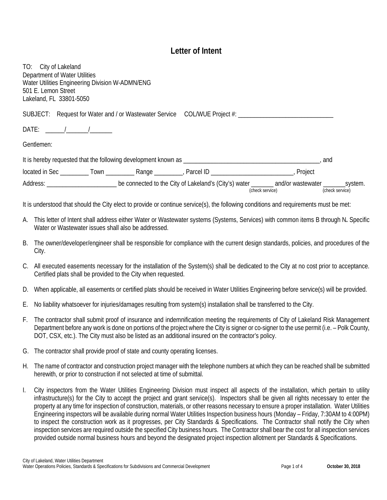## **Letter of Intent**

TO: City of Lakeland Department of Water Utilities Water Utilities Engineering Division W-ADMN/ENG 501 E. Lemon Street Lakeland, FL 33801-5050

SUBJECT: Request for Water and / or Wastewater Service COL/WUE Project #: \_\_\_\_\_\_\_

DATE: \_\_\_\_\_\_/\_\_\_\_\_\_\_/\_\_\_\_\_\_\_

Gentlemen:

| It is hereby requested that the following development known as |       |       |                                                       |                                      | and                        |
|----------------------------------------------------------------|-------|-------|-------------------------------------------------------|--------------------------------------|----------------------------|
| located in Sec                                                 | l own | Range | Parcel ID                                             | Project                              |                            |
| Address:                                                       |       |       | be connected to the City of Lakeland's (City's) water | and/or wastewater<br>(check service) | system.<br>(check service) |

It is understood that should the City elect to provide or continue service(s), the following conditions and requirements must be met:

- A. This letter of Intent shall address either Water or Wastewater systems (Systems, Services) with common items B through N**.** Specific Water or Wastewater issues shall also be addressed.
- B. The owner/developer/engineer shall be responsible for compliance with the current design standards, policies, and procedures of the City.
- C. All executed easements necessary for the installation of the System(s) shall be dedicated to the City at no cost prior to acceptance. Certified plats shall be provided to the City when requested.
- D. When applicable, all easements or certified plats should be received in Water Utilities Engineering before service(s) will be provided.
- E. No liability whatsoever for injuries/damages resulting from system(s) installation shall be transferred to the City.
- F. The contractor shall submit proof of insurance and indemnification meeting the requirements of City of Lakeland Risk Management Department before any work is done on portions of the project where the City is signer or co-signer to the use permit (i.e. – Polk County, DOT, CSX, etc.). The City must also be listed as an additional insured on the contractor's policy.
- G. The contractor shall provide proof of state and county operating licenses.
- H. The name of contractor and construction project manager with the telephone numbers at which they can be reached shall be submitted herewith, or prior to construction if not selected at time of submittal.
- I. City inspectors from the Water Utilities Engineering Division must inspect all aspects of the installation, which pertain to utility infrastructure(s) for the City to accept the project and grant service(s). Inspectors shall be given all rights necessary to enter the property at any time for inspection of construction, materials, or other reasons necessary to ensure a proper installation. Water Utilities Engineering inspectors will be available during normal Water Utilities Inspection business hours (Monday – Friday, 7:30AM to 4:00PM) to inspect the construction work as it progresses, per City Standards & Specifications. The Contractor shall notify the City when inspection services are required outside the specified City business hours. The Contractor shall bear the cost for all inspection services provided outside normal business hours and beyond the designated project inspection allotment per Standards & Specifications.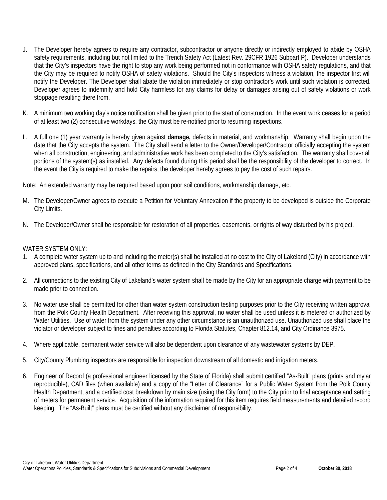- J. The Developer hereby agrees to require any contractor, subcontractor or anyone directly or indirectly employed to abide by OSHA safety requirements, including but not limited to the Trench Safety Act (Latest Rev. 29CFR 1926 Subpart P). Developer understands that the City's inspectors have the right to stop any work being performed not in conformance with OSHA safety regulations, and that the City may be required to notify OSHA of safety violations. Should the City's inspectors witness a violation, the inspector first will notify the Developer. The Developer shall abate the violation immediately or stop contractor's work until such violation is corrected. Developer agrees to indemnify and hold City harmless for any claims for delay or damages arising out of safety violations or work stoppage resulting there from.
- K. A minimum two working day's notice notification shall be given prior to the start of construction. In the event work ceases for a period of at least two (2) consecutive workdays, the City must be re-notified prior to resuming inspections.
- L. A full one (1) year warranty is hereby given against **damage,** defects in material, and workmanship. Warranty shall begin upon the date that the City accepts the system. The City shall send a letter to the Owner/Developer/Contractor officially accepting the system when all construction, engineering, and administrative work has been completed to the City's satisfaction. The warranty shall cover all portions of the system(s) as installed. Any defects found during this period shall be the responsibility of the developer to correct. In the event the City is required to make the repairs, the developer hereby agrees to pay the cost of such repairs.

Note: An extended warranty may be required based upon poor soil conditions, workmanship damage, etc.

- M. The Developer/Owner agrees to execute a Petition for Voluntary Annexation if the property to be developed is outside the Corporate City Limits.
- N. The Developer/Owner shall be responsible for restoration of all properties, easements, or rights of way disturbed by his project.

## WATER SYSTEM ONLY:

- 1. A complete water system up to and including the meter(s) shall be installed at no cost to the City of Lakeland (City) in accordance with approved plans, specifications, and all other terms as defined in the City Standards and Specifications.
- 2. All connections to the existing City of Lakeland's water system shall be made by the City for an appropriate charge with payment to be made prior to connection.
- 3. No water use shall be permitted for other than water system construction testing purposes prior to the City receiving written approval from the Polk County Health Department. After receiving this approval, no water shall be used unless it is metered or authorized by Water Utilities. Use of water from the system under any other circumstance is an unauthorized use. Unauthorized use shall place the violator or developer subject to fines and penalties according to Florida Statutes, Chapter 812.14, and City Ordinance 3975.
- 4. Where applicable, permanent water service will also be dependent upon clearance of any wastewater systems by DEP.
- 5. City/County Plumbing inspectors are responsible for inspection downstream of all domestic and irrigation meters.
- 6. Engineer of Record (a professional engineer licensed by the State of Florida) shall submit certified "As-Built" plans (prints and mylar reproducible), CAD files (when available) and a copy of the "Letter of Clearance" for a Public Water System from the Polk County Health Department, and a certified cost breakdown by main size (using the City form) to the City prior to final acceptance and setting of meters for permanent service. Acquisition of the information required for this item requires field measurements and detailed record keeping. The "As-Built" plans must be certified without any disclaimer of responsibility.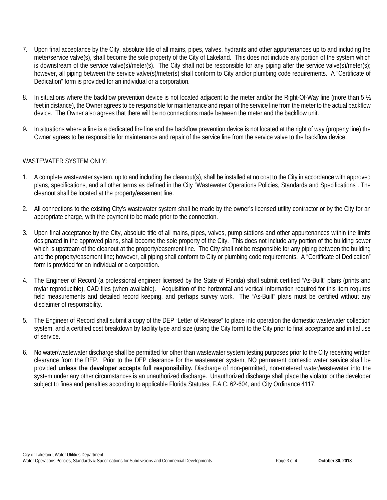- 7. Upon final acceptance by the City, absolute title of all mains, pipes, valves, hydrants and other appurtenances up to and including the meter/service valve(s), shall become the sole property of the City of Lakeland. This does not include any portion of the system which is downstream of the service valve(s)/meter(s). The City shall not be responsible for any piping after the service valve(s)/meter(s); however, all piping between the service valve(s)/meter(s) shall conform to City and/or plumbing code requirements. A "Certificate of Dedication" form is provided for an individual or a corporation.
- 8. In situations where the backflow prevention device is not located adjacent to the meter and/or the Right-Of-Way line (more than 5  $\frac{1}{2}$ ) feet in distance), the Owner agrees to be responsible for maintenance and repair of the service line from the meter to the actual backflow device. The Owner also agrees that there will be no connections made between the meter and the backflow unit.
- 9**.** In situations where a line is a dedicated fire line and the backflow prevention device is not located at the right of way (property line) the Owner agrees to be responsible for maintenance and repair of the service line from the service valve to the backflow device.

## WASTEWATER SYSTEM ONLY:

- 1. A complete wastewater system, up to and including the cleanout(s), shall be installed at no cost to the City in accordance with approved plans, specifications, and all other terms as defined in the City "Wastewater Operations Policies, Standards and Specifications". The cleanout shall be located at the property/easement line.
- 2. All connections to the existing City's wastewater system shall be made by the owner's licensed utility contractor or by the City for an appropriate charge, with the payment to be made prior to the connection.
- 3. Upon final acceptance by the City, absolute title of all mains, pipes, valves, pump stations and other appurtenances within the limits designated in the approved plans, shall become the sole property of the City. This does not include any portion of the building sewer which is upstream of the cleanout at the property/easement line. The City shall not be responsible for any piping between the building and the property/easement line; however, all piping shall conform to City or plumbing code requirements. A "Certificate of Dedication" form is provided for an individual or a corporation.
- 4. The Engineer of Record (a professional engineer licensed by the State of Florida) shall submit certified "As-Built" plans (prints and mylar reproducible), CAD files (when available). Acquisition of the horizontal and vertical information required for this item requires field measurements and detailed record keeping, and perhaps survey work. The "As-Built" plans must be certified without any disclaimer of responsibility.
- 5. The Engineer of Record shall submit a copy of the DEP "Letter of Release" to place into operation the domestic wastewater collection system, and a certified cost breakdown by facility type and size (using the City form) to the City prior to final acceptance and initial use of service.
- 6. No water/wastewater discharge shall be permitted for other than wastewater system testing purposes prior to the City receiving written clearance from the DEP. Prior to the DEP clearance for the wastewater system, NO permanent domestic water service shall be provided **unless the developer accepts full responsibility.** Discharge of non-permitted, non-metered water/wastewater into the system under any other circumstances is an unauthorized discharge. Unauthorized discharge shall place the violator or the developer subject to fines and penalties according to applicable Florida Statutes, F.A.C. 62-604, and City Ordinance 4117.